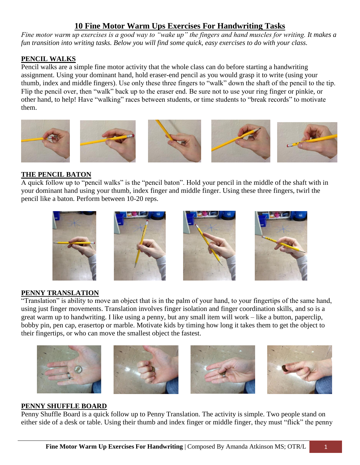# **10 Fine Motor Warm Ups Exercises For Handwriting Tasks**

*Fine motor warm up exercises is a good way to "wake up" the fingers and hand muscles for writing. It makes a fun transition into writing tasks. Below you will find some quick, easy exercises to do with your class.*

# **PENCIL WALKS**

Pencil walks are a simple fine motor activity that the whole class can do before starting a handwriting assignment. Using your dominant hand, hold eraser-end pencil as you would grasp it to write (using your thumb, index and middle fingers). Use only these three fingers to "walk" down the shaft of the pencil to the tip. Flip the pencil over, then "walk" back up to the eraser end. Be sure not to use your ring finger or pinkie, or other hand, to help! Have "walking" races between students, or time students to "break records" to motivate them.



# **THE PENCIL BATON**

A quick follow up to "pencil walks" is the "pencil baton". Hold your pencil in the middle of the shaft with in your dominant hand using your thumb, index finger and middle finger. Using these three fingers, twirl the pencil like a baton. Perform between 10-20 reps.



# **PENNY TRANSLATION**

"Translation" is ability to move an object that is in the palm of your hand, to your fingertips of the same hand, using just finger movements. Translation involves finger isolation and finger coordination skills, and so is a great warm up to handwriting. I like using a penny, but any small item will work – like a button, paperclip, bobby pin, pen cap, erasertop or marble. Motivate kids by timing how long it takes them to get the object to their fingertips, or who can move the smallest object the fastest.



#### **PENNY SHUFFLE BOARD**

Penny Shuffle Board is a quick follow up to Penny Translation. The activity is simple. Two people stand on either side of a desk or table. Using their thumb and index finger or middle finger, they must "flick" the penny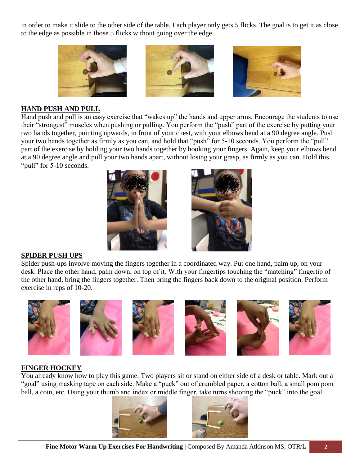in order to make it slide to the other side of the table. Each player only gets 5 flicks. The goal is to get it as close to the edge as possible in those 5 flicks without going over the edge.



## **HAND PUSH AND PULL**

Hand push and pull is an easy exercise that "wakes up" the hands and upper arms. Encourage the students to use their "strongest" muscles when pushing or pulling. You perform the "push" part of the exercise by putting your two hands together, pointing upwards, in front of your chest, with your elbows bend at a 90 degree angle. Push your two hands together as firmly as you can, and hold that "push" for 5-10 seconds. You perform the "pull" part of the exercise by holding your two hands together by hooking your fingers. Again, keep your elbows bend at a 90 degree angle and pull your two hands apart, without losing your grasp, as firmly as you can. Hold this "pull" for 5-10 seconds.





#### **SPIDER PUSH UPS**

Spider push-ups involve moving the fingers together in a coordinated way. Put one hand, palm up, on your desk. Place the other hand, palm down, on top of it. With your fingertips touching the "matching" fingertip of the other hand, bring the fingers together. Then bring the fingers back down to the original position. Perform exercise in reps of 10-20.



### **FINGER HOCKEY**

You already know how to play this game. Two players sit or stand on either side of a desk or table. Mark out a "goal" using masking tape on each side. Make a "puck" out of crumbled paper, a cotton ball, a small pom pom ball, a coin, etc. Using your thumb and index or middle finger, take turns shooting the "puck" into the goal.